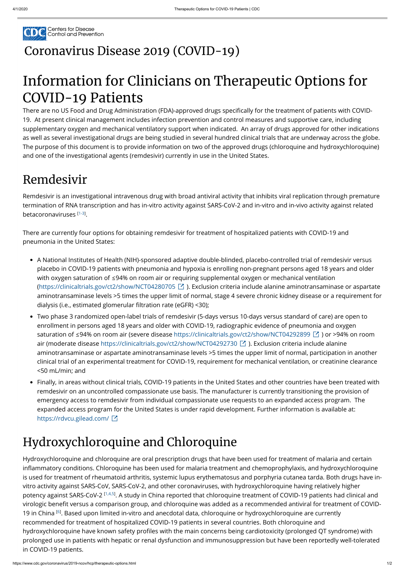

## [Coronavirus](https://www.cdc.gov/coronavirus/2019-nCoV/index.html) Disease 2019 (COVID-19)

# Information for Clinicians on Therapeutic Options for COVID-19 Patients

There are no US Food and Drug Administration (FDA)-approved drugs specifically for the treatment of patients with COVID-19. At present clinical management includes infection prevention and control measures and supportive care, including supplementary oxygen and mechanical ventilatory support when indicated. An array of drugs approved for other indications as well as several investigational drugs are being studied in several hundred clinical trials that are underway across the globe. The purpose of this document is to provide information on two of the approved drugs (chloroquine and hydroxychloroquine) and one of the investigational agents (remdesivir) currently in use in the United States.

Remdesivir is an investigational intravenous drug with broad antiviral activity that inhibits viral replication through premature termination of RNA transcription and has in-vitro activity against SARS-CoV-2 and in-vitro and in-vivo activity against related betacoronaviruses [1-3].

- A National Institutes of Health (NIH)-sponsored adaptive double-blinded, placebo-controlled trial of remdesivir versus placebo in COVID-19 patients with pneumonia and hypoxia is enrolling non-pregnant persons aged 18 years and older with oxygen saturation of ≤94% on room air or requiring supplemental oxygen or mechanical ventilation [\(https://clinicaltrials.gov/ct2/show/NCT04280705](https://clinicaltrials.gov/ct2/show/NCT04280705) ). Exclusion criteria include alanine aminotransaminase or aspartate aminotransaminase levels >5 times the upper limit of normal, stage 4 severe chronic kidney disease or a requirement for dialysis (i.e., estimated glomerular filtration rate (eGFR) <30);
- Two phase 3 randomized open-label trials of remdesivir (5-days versus 10-days versus standard of care) are open to enrollment in persons aged 18 years and older with COVID-19, radiographic evidence of pneumonia and oxygen saturation of ≤94% on room air (severe disease <https://clinicaltrials.gov/ct2/show/NCT04292899> ⊠ ) or >94% on room air (moderate disease<https://clinicaltrials.gov/ct2/show/NCT04292730> ⊠ ). Exclusion criteria include alanine aminotransaminase or aspartate aminotransaminase levels >5 times the upper limit of normal, participation in another clinical trial of an experimental treatment for COVID-19, requirement for mechanical ventilation, or creatinine clearance <50 mL/min; and
- Finally, in areas without clinical trials, COVID-19 patients in the United States and other countries have been treated with remdesivir on an uncontrolled compassionate use basis. The manufacturer is currently transitioning the provision of emergency access to remdesivir from individual compassionate use requests to an expanded access program. The expanded access program for the United States is under rapid development. Further information is available at: <https://rdvcu.gilead.com/> [2]

# Remdesivir

There are currently four options for obtaining remdesivir for treatment of hospitalized patients with COVID-19 and pneumonia in the United States:

#### Hydroxychloroquine and Chloroquine

Hydroxychloroquine and chloroquine are oral prescription drugs that have been used for treatment of malaria and certain inflammatory conditions. Chloroquine has been used for malaria treatment and chemoprophylaxis, and hydroxychloroquine is used for treatment of rheumatoid arthritis, systemic lupus erythematosus and porphyria cutanea tarda. Both drugs have invitro activity against SARS-CoV, SARS-CoV-2, and other coronaviruses, with hydroxychloroquine having relatively higher potency against SARS-CoV-2 [\[1,4,5](#page-1-0)]. A study in China reported that chloroquine treatment of COVID-19 patients had clinical and virologic benefit versus a comparison group, and chloroquine was added as a recommended antiviral for treatment of COVID-19 in China <sup>[\[6\]](#page-1-1)</sup>. Based upon limited in-vitro and anecdotal data, chloroquine or hydroxychloroquine are currently recommended for treatment of hospitalized COVID-19 patients in several countries. Both chloroquine and hydroxychloroquine have known safety profiles with the main concerns being cardiotoxicity (prolonged QT syndrome) with prolonged use in patients with hepatic or renal dysfunction and immunosuppression but have been reportedly well-tolerated in COVID-19 patients.